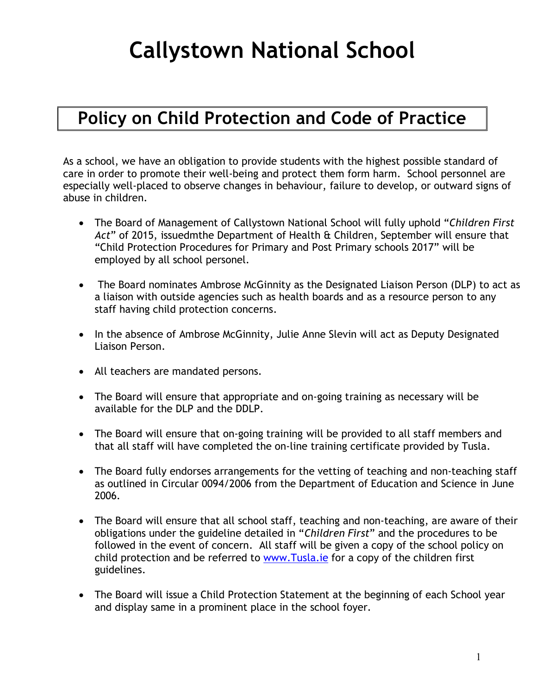# **Callystown National School**

# **Policy on Child Protection and Code of Practice**

As a school, we have an obligation to provide students with the highest possible standard of care in order to promote their well-being and protect them form harm. School personnel are especially well-placed to observe changes in behaviour, failure to develop, or outward signs of abuse in children.

- The Board of Management of Callystown National School will fully uphold "*Children First Act*" of 2015, issuedmthe Department of Health & Children, September will ensure that "Child Protection Procedures for Primary and Post Primary schools 2017" will be employed by all school personel.
- The Board nominates Ambrose McGinnity as the Designated Liaison Person (DLP) to act as a liaison with outside agencies such as health boards and as a resource person to any staff having child protection concerns.
- In the absence of Ambrose McGinnity, Julie Anne Slevin will act as Deputy Designated Liaison Person.
- All teachers are mandated persons.
- The Board will ensure that appropriate and on-going training as necessary will be available for the DLP and the DDLP.
- The Board will ensure that on-going training will be provided to all staff members and that all staff will have completed the on-line training certificate provided by Tusla.
- The Board fully endorses arrangements for the vetting of teaching and non-teaching staff as outlined in Circular 0094/2006 from the Department of Education and Science in June 2006.
- The Board will ensure that all school staff, teaching and non-teaching, are aware of their obligations under the guideline detailed in "*Children First*" and the procedures to be followed in the event of concern. All staff will be given a copy of the school policy on child protection and be referred to [www.Tusla.ie](http://www.tusla.ie/) for a copy of the children first guidelines.
- The Board will issue a Child Protection Statement at the beginning of each School year and display same in a prominent place in the school foyer.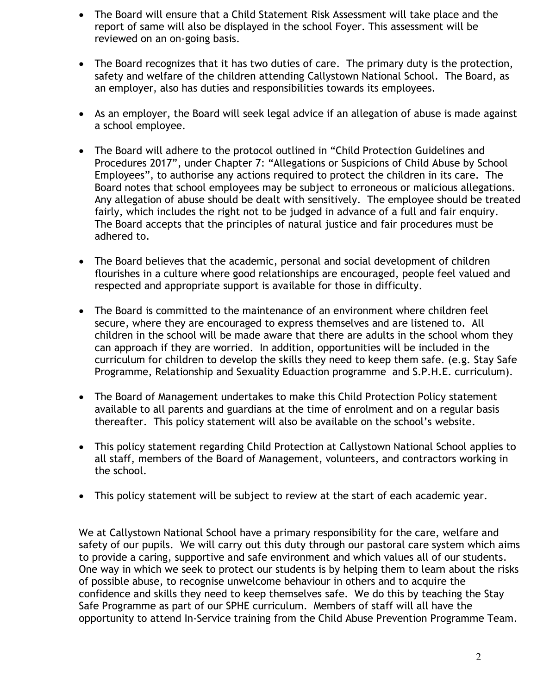- The Board will ensure that a Child Statement Risk Assessment will take place and the report of same will also be displayed in the school Foyer. This assessment will be reviewed on an on-going basis.
- The Board recognizes that it has two duties of care. The primary duty is the protection, safety and welfare of the children attending Callystown National School. The Board, as an employer, also has duties and responsibilities towards its employees.
- As an employer, the Board will seek legal advice if an allegation of abuse is made against a school employee.
- The Board will adhere to the protocol outlined in "Child Protection Guidelines and Procedures 2017", under Chapter 7: "Allegations or Suspicions of Child Abuse by School Employees", to authorise any actions required to protect the children in its care. The Board notes that school employees may be subject to erroneous or malicious allegations. Any allegation of abuse should be dealt with sensitively. The employee should be treated fairly, which includes the right not to be judged in advance of a full and fair enquiry. The Board accepts that the principles of natural justice and fair procedures must be adhered to.
- The Board believes that the academic, personal and social development of children flourishes in a culture where good relationships are encouraged, people feel valued and respected and appropriate support is available for those in difficulty.
- The Board is committed to the maintenance of an environment where children feel secure, where they are encouraged to express themselves and are listened to. All children in the school will be made aware that there are adults in the school whom they can approach if they are worried. In addition, opportunities will be included in the curriculum for children to develop the skills they need to keep them safe. (e.g. Stay Safe Programme, Relationship and Sexuality Eduaction programme and S.P.H.E. curriculum).
- The Board of Management undertakes to make this Child Protection Policy statement available to all parents and guardians at the time of enrolment and on a regular basis thereafter. This policy statement will also be available on the school's website.
- This policy statement regarding Child Protection at Callystown National School applies to all staff, members of the Board of Management, volunteers, and contractors working in the school.
- This policy statement will be subject to review at the start of each academic year.

We at Callystown National School have a primary responsibility for the care, welfare and safety of our pupils. We will carry out this duty through our pastoral care system which aims to provide a caring, supportive and safe environment and which values all of our students. One way in which we seek to protect our students is by helping them to learn about the risks of possible abuse, to recognise unwelcome behaviour in others and to acquire the confidence and skills they need to keep themselves safe. We do this by teaching the Stay Safe Programme as part of our SPHE curriculum. Members of staff will all have the opportunity to attend In-Service training from the Child Abuse Prevention Programme Team.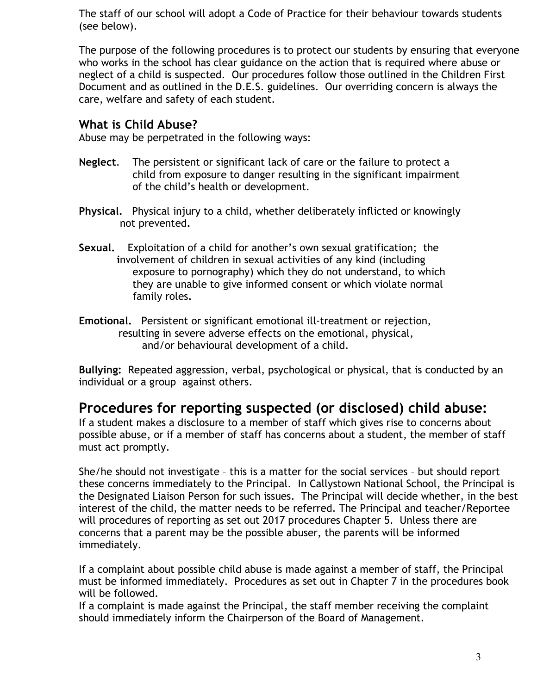The staff of our school will adopt a Code of Practice for their behaviour towards students (see below).

The purpose of the following procedures is to protect our students by ensuring that everyone who works in the school has clear guidance on the action that is required where abuse or neglect of a child is suspected. Our procedures follow those outlined in the Children First Document and as outlined in the D.E.S. guidelines. Our overriding concern is always the care, welfare and safety of each student.

#### **What is Child Abuse?**

Abuse may be perpetrated in the following ways:

- **Neglect**. The persistent or significant lack of care or the failure to protect a child from exposure to danger resulting in the significant impairment of the child's health or development.
- **Physical.** Physical injury to a child, whether deliberately inflicted or knowingly not prevented**.**
- **Sexual.** Exploitation of a child for another's own sexual gratification; the  **i**nvolvement of children in sexual activities of any kind (including exposure to pornography) which they do not understand, to which they are unable to give informed consent or which violate normal family roles**.**
- **Emotional.** Persistent or significant emotional ill-treatment or rejection, resulting in severe adverse effects on the emotional, physical, and/or behavioural development of a child.

**Bullying:** Repeated aggression, verbal, psychological or physical, that is conducted by an individual or a group against others.

### **Procedures for reporting suspected (or disclosed) child abuse:**

If a student makes a disclosure to a member of staff which gives rise to concerns about possible abuse, or if a member of staff has concerns about a student, the member of staff must act promptly.

She/he should not investigate – this is a matter for the social services – but should report these concerns immediately to the Principal. In Callystown National School, the Principal is the Designated Liaison Person for such issues. The Principal will decide whether, in the best interest of the child, the matter needs to be referred. The Principal and teacher/Reportee will procedures of reporting as set out 2017 procedures Chapter 5. Unless there are concerns that a parent may be the possible abuser, the parents will be informed immediately.

If a complaint about possible child abuse is made against a member of staff, the Principal must be informed immediately. Procedures as set out in Chapter 7 in the procedures book will be followed.

If a complaint is made against the Principal, the staff member receiving the complaint should immediately inform the Chairperson of the Board of Management.